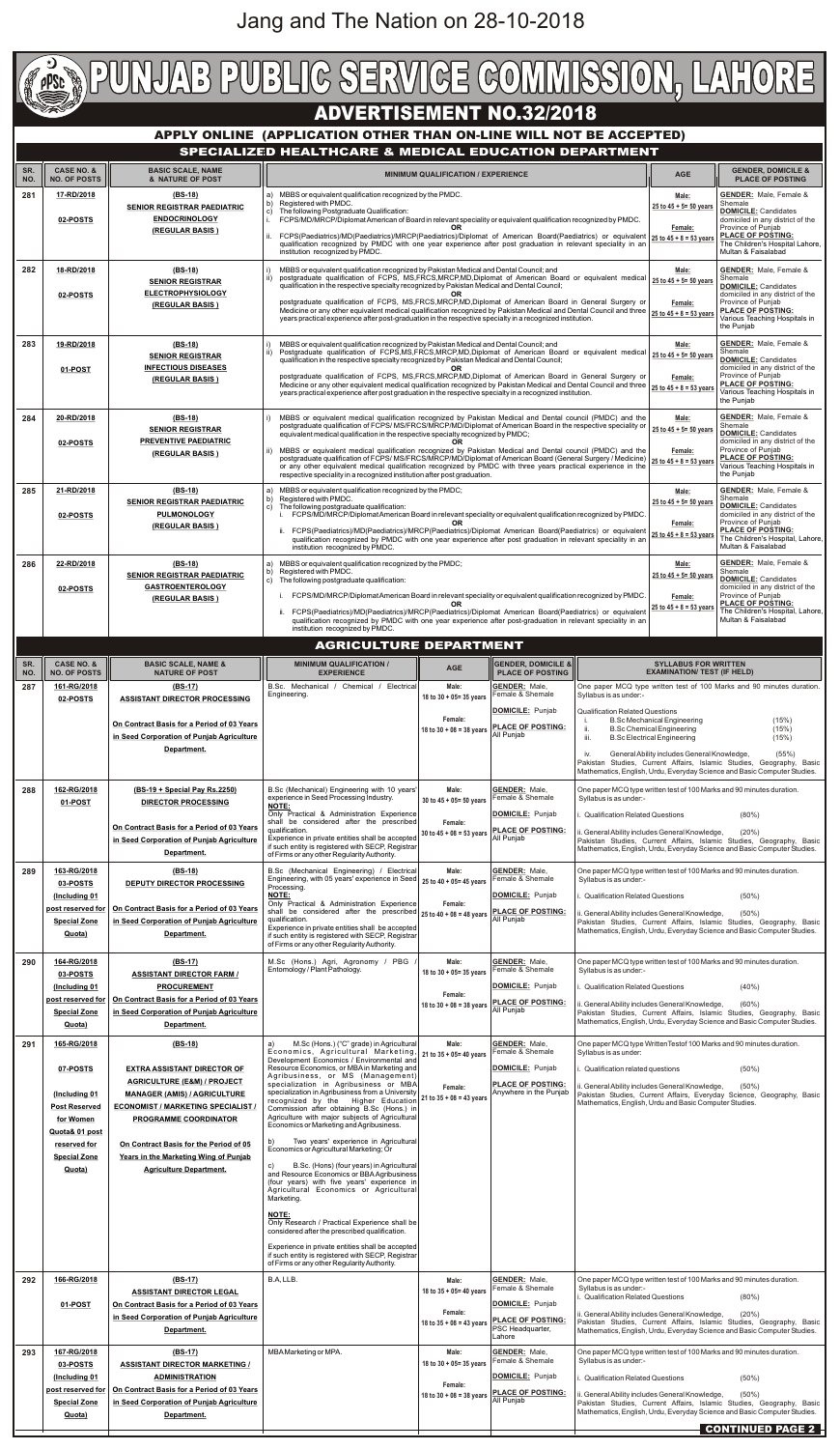## **ADVERTISEMENT NO.32/2018**

### **APPLY ONLINE (APPLICATION OTHER THAN ON-LINE WILL NOT BE ACCEPTED) SPECIALIZED HEALTHCARE & MEDICAL EDUCATION DEPARTMENT**

| SR.<br>NO. | <b>CASE NO. &amp;</b><br><b>NO. OF POSTS</b>               | <b>BASIC SCALE, NAME</b><br>& NATURE OF POST                                            | <b>MINIMUM QUALIFICATION / EXPERIENCE</b>                                                                                                                                                                                                                                                                                                                                                                                                    |                                                                                                                                                                |                                                                                    |                                                                                                                                                                                                                           | <b>AGE</b>                                                                                                            | <b>GENDER, DOMICILE &amp;</b><br><b>PLACE OF POSTING</b>                                                                                                               |
|------------|------------------------------------------------------------|-----------------------------------------------------------------------------------------|----------------------------------------------------------------------------------------------------------------------------------------------------------------------------------------------------------------------------------------------------------------------------------------------------------------------------------------------------------------------------------------------------------------------------------------------|----------------------------------------------------------------------------------------------------------------------------------------------------------------|------------------------------------------------------------------------------------|---------------------------------------------------------------------------------------------------------------------------------------------------------------------------------------------------------------------------|-----------------------------------------------------------------------------------------------------------------------|------------------------------------------------------------------------------------------------------------------------------------------------------------------------|
| 281        | 17-RD/2018                                                 | $(BS-18)$<br><b>SENIOR REGISTRAR PAEDIATRIC</b>                                         | MBBS or equivalent qualification recognized by the PMDC.<br>Registered with PMDC.<br>b)<br>The following Postgraduate Qualification:<br>c)                                                                                                                                                                                                                                                                                                   | Male:<br>25 to $45 + 5 = 50$ years                                                                                                                             | <b>GENDER:</b> Male, Female &<br>Shemale<br><b>DOMICILE: Candidates</b>            |                                                                                                                                                                                                                           |                                                                                                                       |                                                                                                                                                                        |
|            | 02-POSTS                                                   | <b>ENDOCRINOLOGY</b><br>(REGULAR BASIS)                                                 | FCPS/MD/MRCP/Diplomat American of Board in relevant speciality or equivalent qualification recognized by PMDC.<br>FCPS(Paediatrics)/MD(Paediatrics)/MRCP(Paediatrics)/Diplomat of American Board(Paediatrics) or equivalent                                                                                                                                                                                                                  | Female:<br>25 to $45 + 8 = 53$ years                                                                                                                           | domiciled in any district of the<br>Province of Punjab<br><b>PLACE OF POSTING:</b> |                                                                                                                                                                                                                           |                                                                                                                       |                                                                                                                                                                        |
| 282        | 18-RD/2018                                                 | $(BS-18)$                                                                               | qualification recognized by PMDC with one year experience after post graduation in relevant speciality in an<br>institution recognized by PMDC.                                                                                                                                                                                                                                                                                              |                                                                                                                                                                |                                                                                    |                                                                                                                                                                                                                           | Male:                                                                                                                 | The Children's Hospital Lahore,<br>Multan & Faisalabad<br><b>GENDER:</b> Male, Female &                                                                                |
|            | 02-POSTS                                                   | <b>SENIOR REGISTRAR</b><br><b>ELECTROPHYSIOLOGY</b>                                     | MBBS or equivalent qualification recognized by Pakistan Medical and Dental Council; and<br>postgraduate qualification of FCPS, MS, FRCS, MRCP, MD, Diplomat of American Board or equivalent medical<br>ii)<br>qualification in the respective specialty recognized by Pakistan Medical and Dental Council;                                                                                                                                   |                                                                                                                                                                |                                                                                    |                                                                                                                                                                                                                           | 25 to 45 + 5= 50 years                                                                                                | Shemale<br><b>DOMICILE: Candidates</b><br>domiciled in any district of the                                                                                             |
|            |                                                            | (REGULAR BASIS)                                                                         | postgraduate qualification of FCPS, MS, FRCS, MRCP, MD, Diplomat of American Board in General Surgery or<br>Medicine or any other equivalent medical qualification recognized by Pakistan Medical and Dental Council and three<br>years practical experience after post-graduation in the respective specialty in a recognized institution.                                                                                                  |                                                                                                                                                                |                                                                                    |                                                                                                                                                                                                                           | Female:<br>25 to $45 + 8 = 53$ years                                                                                  | Province of Punjab<br><b>PLACE OF POSTING:</b><br>Various Teaching Hospitals in<br>the Punjab                                                                          |
| 283        | 19-RD/2018                                                 | $(BS-18)$<br><b>SENIOR REGISTRAR</b>                                                    | MBBS or equivalent qualification recognized by Pakistan Medical and Dental Council; and<br>Postgraduate qualification of FCPS, MS, FRCS, MRCP, MD, Diplomat of American Board or equivalent medical                                                                                                                                                                                                                                          |                                                                                                                                                                |                                                                                    |                                                                                                                                                                                                                           | Male:<br>25 to $45 + 5 = 50$ years                                                                                    | <b>GENDER:</b> Male, Female &<br>Shemale                                                                                                                               |
|            | 01-POST                                                    | <b>INFECTIOUS DISEASES</b><br>(REGULAR BASIS)                                           | gualification in the respective specialty recognized by Pakistan Medical and Dental Council;<br>OR.<br>postgraduate qualification of FCPS, MS, FRCS, MRCP, MD, Diplomat of American Board in General Surgery or                                                                                                                                                                                                                              |                                                                                                                                                                |                                                                                    |                                                                                                                                                                                                                           | Female:                                                                                                               | <b>DOMICILE: Candidates</b><br>domiciled in any district of the<br>Province of Punjab<br><b>PLACE OF POSTING:</b>                                                      |
|            |                                                            |                                                                                         | Medicine or any other equivalent medical qualification recognized by Pakistan Medical and Dental Council and three 25 to 45 + 8 = 53 year<br>years practical experience after post graduation in the respective specialty in a recognized institution.                                                                                                                                                                                       |                                                                                                                                                                |                                                                                    |                                                                                                                                                                                                                           |                                                                                                                       | Various Teaching Hospitals in<br>the Punjab                                                                                                                            |
| 284        | 20-RD/2018<br>02-POSTS                                     | $(BS-18)$<br><b>SENIOR REGISTRAR</b><br><b>PREVENTIVE PAEDIATRIC</b>                    | MBBS or equivalent medical qualification recognized by Pakistan Medical and Dental council (PMDC) and the<br>postgraduate qualification of FCPS/ MS/FRCS/MRCP/MD/Diplomat of American Board in the respective speciality or<br>equivalent medical qualification in the respective specialty recognized by PMDC;                                                                                                                              |                                                                                                                                                                |                                                                                    |                                                                                                                                                                                                                           | Male:<br>25 to 45 + 5= 50 years                                                                                       | <b>GENDER:</b> Male, Female &<br>Shemale<br><b>DOMICILE: Candidates</b><br>domiciled in any district of the                                                            |
|            |                                                            | (REGULAR BASIS)                                                                         | MBBS or equivalent medical qualification recognized by Pakistan Medical and Dental council (PMDC) and the<br>postgraduate qualification of FCPS/MS/FRCS/MRCP/MD/Diplomat of American Board (General Surgery / Medicine) 25 to 45 + 8 = 53 years<br>or any other equivalent medical qualification recognized by PMDC with three years practical experience in the<br>respective speciality in a recognized institution after post graduation. |                                                                                                                                                                |                                                                                    |                                                                                                                                                                                                                           | Female:                                                                                                               | Province of Punjab<br><b>PLACE OF POSTING:</b><br>Various Teaching Hospitals in<br>the Punjab                                                                          |
| 285        | 21-RD/2018                                                 | (BS-18)<br><b>SENIOR REGISTRAR PAEDIATRIC</b>                                           | MBBS or equivalent qualification recognized by the PMDC;<br>a)<br>Registered with PMDC.<br>b)<br>The following postgraduate qualification:<br>$\mathsf{C}$                                                                                                                                                                                                                                                                                   |                                                                                                                                                                |                                                                                    |                                                                                                                                                                                                                           | Male:<br>25 to $45 + 5 = 50$ years                                                                                    | <b>GENDER:</b> Male, Female &<br>Shemale<br><b>DOMICILE: Candidates</b>                                                                                                |
|            | 02-POSTS                                                   | <b>PULMONOLOGY</b><br>(REGULAR BASIS)                                                   | i. FCPS/MD/MRCP/Diplomat American Board in relevant speciality or equivalent qualification recognized by PMDC.<br><b>OR</b><br>FCPS(Paediatrics)/MD(Paediatrics)/MRCP(Paediatrics)/Diplomat American Board(Paediatrics) or equivalent 25 to 45 + 8 = 53 year<br>qualification recognized by PMDC with one year experience after post graduation in relevant speciality in an                                                                 |                                                                                                                                                                |                                                                                    |                                                                                                                                                                                                                           | Female:                                                                                                               | domiciled in any district of the<br>Province of Punjab<br><b>PLACE OF POSTING:</b><br>The Children's Hospital, Lahore,<br>Multan & Faisalabad                          |
| 286        | 22-RD/2018                                                 | $(BS-18)$<br><b>SENIOR REGISTRAR PAEDIATRIC</b>                                         | Registered with PMDC.<br>b)<br>C)                                                                                                                                                                                                                                                                                                                                                                                                            | institution recognized by PMDC.<br>MBBS or equivalent qualification recognized by the PMDC;                                                                    |                                                                                    |                                                                                                                                                                                                                           |                                                                                                                       | <b>GENDER:</b> Male, Female &<br>Shemale<br><b>DOMICILE: Candidates</b>                                                                                                |
|            | 02-POSTS                                                   | <b>GASTROENTEROLOGY</b><br>(REGULAR BASIS)                                              |                                                                                                                                                                                                                                                                                                                                                                                                                                              | The following postgraduate qualification:<br>FCPS/MD/MRCP/Diplomat American Board in relevant speciality or equivalent qualification recognized by PMDC.<br>ΩR |                                                                                    |                                                                                                                                                                                                                           | Female:<br>25 to $45 + 8 = 53$ years                                                                                  | domiciled in any district of the<br>Province of Punjab<br><b>PLACE OF POSTING:</b>                                                                                     |
|            |                                                            |                                                                                         | ii. FCPS(Paediatrics)/MD(Paediatrics)/MRCP(Paediatrics)/Diplomat American Board(Paediatrics) or equivalent<br>qualification recognized by PMDC with one year experience after post-graduation in relevant speciality in an<br>institution recognized by PMDC.                                                                                                                                                                                |                                                                                                                                                                |                                                                                    |                                                                                                                                                                                                                           | The Children's Hospital, Lahore,<br>Multan & Faisalabad                                                               |                                                                                                                                                                        |
| SR.        | <b>CASE NO. &amp;</b>                                      | <b>BASIC SCALE, NAME &amp;</b>                                                          | <b>AGRICULTURE DEPARTMENT</b><br><b>MINIMUM QUALIFICATION /</b>                                                                                                                                                                                                                                                                                                                                                                              |                                                                                                                                                                | <b>GENDER, DOMICILE &amp;</b>                                                      |                                                                                                                                                                                                                           | <b>SYLLABUS FOR WRITTEN</b>                                                                                           |                                                                                                                                                                        |
| NO.<br>287 | <b>NO. OF POSTS</b><br>161-RG/2018                         | <b>NATURE OF POST</b><br>(BS-17)                                                        | <b>EXPERIENCE</b><br>B.Sc. Mechanical /<br>Chemical / Electrical<br>Engineering.                                                                                                                                                                                                                                                                                                                                                             | <b>AGE</b><br>Male:                                                                                                                                            | <b>PLACE OF POSTING</b><br><b>GENDER: Male.</b><br>Female & Shemale                | Syllabus is as under:-                                                                                                                                                                                                    | <b>EXAMINATION/ TEST (IF HELD)</b>                                                                                    | One paper MCQ type written test of 100 Marks and 90 minutes duration.                                                                                                  |
|            | 02-POSTS                                                   | <b>ASSISTANT DIRECTOR PROCESSING</b><br>On Contract Basis for a Period of 03 Years      |                                                                                                                                                                                                                                                                                                                                                                                                                                              | 18 to $30 + 05 = 35$ years<br>Female:                                                                                                                          | <b>DOMICILE: Punjab</b>                                                            | <b>Qualification Related Questions</b>                                                                                                                                                                                    | <b>B.Sc Mechanical Engineering</b>                                                                                    | (15%)                                                                                                                                                                  |
|            |                                                            | in Seed Corporation of Punjab Agriculture<br>Department.                                |                                                                                                                                                                                                                                                                                                                                                                                                                                              | 18 to $30 + 08 = 38$ years                                                                                                                                     | <b>PLACE OF POSTING:</b><br>All Punjab                                             | ii.<br>iii.<br>iv.                                                                                                                                                                                                        | <b>B.Sc Chemical Engineering</b><br><b>B.Sc Electrical Engineering</b><br>General Ability includes General Knowledge, | (15%)<br>(15%)<br>(55%)                                                                                                                                                |
|            |                                                            |                                                                                         |                                                                                                                                                                                                                                                                                                                                                                                                                                              |                                                                                                                                                                |                                                                                    |                                                                                                                                                                                                                           |                                                                                                                       | Pakistan Studies, Current Affairs, Islamic Studies, Geography, Basic<br>Mathematics, English, Urdu, Everyday Science and Basic Computer Studies.                       |
| 288        | 162-RG/2018<br>01-POST                                     | (BS-19 + Special Pay Rs.2250)<br><b>DIRECTOR PROCESSING</b>                             | B.Sc (Mechanical) Engineering with 10 years'<br>experience in Seed Processing Industry.<br><b>NOTE:</b>                                                                                                                                                                                                                                                                                                                                      | Male:<br>30 to $45 + 05 = 50$ years                                                                                                                            | <b>GENDER: Male,</b><br>Female & Shemale                                           | One paper MCQ type written test of 100 Marks and 90 minutes duration.<br>Syllabus is as under:-                                                                                                                           |                                                                                                                       |                                                                                                                                                                        |
|            |                                                            | On Contract Basis for a Period of 03 Years<br>in Seed Corporation of Punjab Agriculture | Only Practical & Administration Experience<br>shall be considered after the prescribed<br>qualification.<br>Experience in private entities shall be accepted                                                                                                                                                                                                                                                                                 | Female:<br>30 to $45 + 08 = 53$ years                                                                                                                          | <b>DOMICILE: Punjab</b><br><b>PLACE OF POSTING:</b><br>All Puniab                  | <b>Qualification Related Questions</b><br>ii. General Ability includes General Knowledge,                                                                                                                                 |                                                                                                                       | $(80\%)$<br>(20%)                                                                                                                                                      |
| 289        | 163-RG/2018                                                | Department.<br>$(BS-18)$                                                                | if such entity is registered with SECP, Registrar<br>of Firms or any other Regularity Authority.<br>B.Sc (Mechanical Engineering) / Electrical                                                                                                                                                                                                                                                                                               | Male:                                                                                                                                                          | <b>GENDER: Male.</b>                                                               | Pakistan Studies, Current Affairs, Islamic Studies, Geography, Basic<br>Mathematics, English, Urdu, Everyday Science and Basic Computer Studies.<br>One paper MCQ type written test of 100 Marks and 90 minutes duration. |                                                                                                                       |                                                                                                                                                                        |
|            | 03-POSTS<br>(Including 01                                  | <b>DEPUTY DIRECTOR PROCESSING</b>                                                       | Engineering, with 05 years' experience in Seed 25 to 40 + 05= 45 years<br>Processing.<br><b>NOTE:</b>                                                                                                                                                                                                                                                                                                                                        |                                                                                                                                                                | Female & Shemale<br><b>DOMICILE: Punjab</b>                                        | Syllabus is as under:-<br><b>Qualification Related Questions</b><br>$(50\%)$                                                                                                                                              |                                                                                                                       |                                                                                                                                                                        |
|            | post reserved for<br><b>Special Zone</b>                   | On Contract Basis for a Period of 03 Years<br>in Seed Corporation of Punjab Agriculture | Only Practical & Administration Experience<br>shall be considered after the prescribed $25$ to $40 + 08 = 48$ years<br>qualification.<br>Experience in private entities shall be accepted                                                                                                                                                                                                                                                    | Female:                                                                                                                                                        | <b>PLACE OF POSTING:</b><br>All Punjab                                             | ii. General Ability includes General Knowledge,                                                                                                                                                                           |                                                                                                                       | $(50\%)$<br>Pakistan Studies, Current Affairs, Islamic Studies, Geography, Basic                                                                                       |
|            | Quota)                                                     | Department.                                                                             | if such entity is registered with SECP, Registrar<br>of Firms or any other Regularity Authority.                                                                                                                                                                                                                                                                                                                                             |                                                                                                                                                                |                                                                                    |                                                                                                                                                                                                                           |                                                                                                                       | Mathematics, English, Urdu, Everyday Science and Basic Computer Studies.                                                                                               |
| 290        | 164-RG/2018<br>03-POSTS                                    | $(BS-17)$<br><b>ASSISTANT DIRECTOR FARM /</b><br><b>PROCUREMENT</b>                     | M.Sc (Hons.) Agri, Agronomy / PBG<br>Entomology / Plant Pathology.                                                                                                                                                                                                                                                                                                                                                                           | Male:<br>18 to $30 + 05 = 35$ years                                                                                                                            | <b>GENDER: Male,</b><br>Female & Shemale<br>DOMICILE: Punjab                       | One paper MCQ type written test of 100 Marks and 90 minutes duration.<br>Syllabus is as under:-                                                                                                                           |                                                                                                                       |                                                                                                                                                                        |
|            | (Including 01)<br>post reserved for<br><b>Special Zone</b> | On Contract Basis for a Period of 03 Years<br>in Seed Corporation of Punjab Agriculture |                                                                                                                                                                                                                                                                                                                                                                                                                                              | Female:<br>18 to $30 + 08 = 38$ years                                                                                                                          | <b>PLACE OF POSTING:</b><br>All Punjab                                             | <b>Qualification Related Questions</b><br>ii. General Ability includes General Knowledge,<br>Pakistan Studies, Current Affairs, Islamic Studies, Geography, Basic                                                         |                                                                                                                       | $(40\%)$<br>$(60\%)$                                                                                                                                                   |
| 291        | Quota)<br>165-RG/2018                                      | Department.<br>$(BS-18)$                                                                | M.Sc (Hons.) ("C" grade) in Agricultural<br>a)                                                                                                                                                                                                                                                                                                                                                                                               | Male:                                                                                                                                                          | <b>GENDER: Male,</b>                                                               | Mathematics, English, Urdu, Everyday Science and Basic Computer Studies.<br>One paper MCQ type Written Testof 100 Marks and 90 minutes duration.                                                                          |                                                                                                                       |                                                                                                                                                                        |
|            | 07-POSTS                                                   | <b>EXTRA ASSISTANT DIRECTOR OF</b>                                                      | Economics, Agricultural Marketing,<br>Development Economics / Environmental and<br>Resource Economics, or MBA in Marketing and                                                                                                                                                                                                                                                                                                               | 21 to 35 + 05= 40 years                                                                                                                                        | Female & Shemale<br>DOMICILE: Punjab                                               | Syllabus is as under:<br>Qualification related questions                                                                                                                                                                  |                                                                                                                       | $(50\%)$                                                                                                                                                               |
|            | (Including 01                                              | <b>AGRICULTURE (E&amp;M) / PROJECT</b><br><b>MANAGER (AMIS) / AGRICULTURE</b>           | Agribusiness, or MS (Management)<br>specialization in Agribusiness or MBA<br>specialization in Agribusiness from a University<br>recognized by the Higher Education                                                                                                                                                                                                                                                                          | Female:<br>21 to $35 + 08 = 43$ years                                                                                                                          | <b>PLACE OF POSTING:</b><br>Anywhere in the Punjab                                 | ii. General Ability includes General Knowledge,                                                                                                                                                                           |                                                                                                                       | $(50\%)$<br>Pakistan Studies, Current Affairs, Everyday Science, Geography, Basic                                                                                      |
|            | <b>Post Reserved</b><br>for Women<br>Quota& 01 post        | <b>ECONOMIST / MARKETING SPECIALIST /</b><br><b>PROGRAMME COORDINATOR</b>               | Commission after obtaining B.Sc (Hons.) in<br>Agriculture with major subjects of Agricultural<br>Economics or Marketing and Agribusiness.                                                                                                                                                                                                                                                                                                    |                                                                                                                                                                |                                                                                    | Mathematics, English, Urdu and Basic Computer Studies.                                                                                                                                                                    |                                                                                                                       |                                                                                                                                                                        |
|            | reserved for<br><b>Special Zone</b>                        | On Contract Basis for the Period of 05<br>Years in the Marketing Wing of Punjab         | Two years' experience in Agricultural<br>b)<br>Economics or Agricultural Marketing; Or                                                                                                                                                                                                                                                                                                                                                       |                                                                                                                                                                |                                                                                    |                                                                                                                                                                                                                           |                                                                                                                       |                                                                                                                                                                        |
|            | Quota)                                                     | <b>Agriculture Department.</b>                                                          | B.Sc. (Hons) (four years) in Agricultural<br>C)<br>and Resource Economics or BBA Agribusiness<br>(four years) with five years' experience in<br>Agricultural Economics or Agricultural<br>Marketing.                                                                                                                                                                                                                                         |                                                                                                                                                                |                                                                                    |                                                                                                                                                                                                                           |                                                                                                                       |                                                                                                                                                                        |
|            |                                                            |                                                                                         | <b>NOTE:</b><br>Only Research / Practical Experience shall be                                                                                                                                                                                                                                                                                                                                                                                |                                                                                                                                                                |                                                                                    |                                                                                                                                                                                                                           |                                                                                                                       |                                                                                                                                                                        |
|            |                                                            |                                                                                         | considered after the prescribed qualification.<br>Experience in private entities shall be accepted<br>if such entity is registered with SECP, Registrar                                                                                                                                                                                                                                                                                      |                                                                                                                                                                |                                                                                    |                                                                                                                                                                                                                           |                                                                                                                       |                                                                                                                                                                        |
| 292        | 166-RG/2018                                                | $(BS-17)$                                                                               | of Firms or any other Regularity Authority.<br>B.A, LLB.                                                                                                                                                                                                                                                                                                                                                                                     | Male:                                                                                                                                                          | <b>GENDER: Male,</b>                                                               |                                                                                                                                                                                                                           |                                                                                                                       | One paper MCQ type written test of 100 Marks and 90 minutes duration.                                                                                                  |
|            | 01-POST                                                    | <b>ASSISTANT DIRECTOR LEGAL</b><br>On Contract Basis for a Period of 03 Years           |                                                                                                                                                                                                                                                                                                                                                                                                                                              | 18 to $35 + 05 = 40$ years<br>Female:                                                                                                                          | Female & Shemale<br>DOMICILE: Punjab                                               | Syllabus is as under:-<br>. Qualification Related Questions<br>ii. General Ability includes General Knowledge,                                                                                                            |                                                                                                                       | $(80\%)$<br>(20%)                                                                                                                                                      |
|            |                                                            | in Seed Corporation of Punjab Agriculture<br>Department.                                |                                                                                                                                                                                                                                                                                                                                                                                                                                              | 18 to $35 + 08 = 43$ years                                                                                                                                     | <b>PLACE OF POSTING:</b><br>PSC Headquarter,<br>Lahore                             |                                                                                                                                                                                                                           |                                                                                                                       | Pakistan Studies, Current Affairs, Islamic Studies, Geography, Basic<br>Mathematics, English, Urdu, Everyday Science and Basic Computer Studies.                       |
| 293        | 167-RG/2018<br>03-POSTS                                    | $(BS-17)$<br><b>ASSISTANT DIRECTOR MARKETING /</b>                                      | MBA Marketing or MPA.                                                                                                                                                                                                                                                                                                                                                                                                                        | Male:<br>18 to $30 + 05 = 35$ years                                                                                                                            | <b>GENDER: Male,</b><br>Female & Shemale                                           | Syllabus is as under:-                                                                                                                                                                                                    |                                                                                                                       | One paper MCQ type written test of 100 Marks and 90 minutes duration.                                                                                                  |
|            | (Including 01<br>post reserved for                         | <b>ADMINISTRATION</b><br>On Contract Basis for a Period of 03 Years                     |                                                                                                                                                                                                                                                                                                                                                                                                                                              | Female:<br>18 to $30 + 08 = 38$ years                                                                                                                          | <b>DOMICILE:</b> Punjab<br><b>PLACE OF POSTING:</b><br>All Punjab                  | i. Qualification Related Questions<br>ii. General Ability includes General Knowledge,                                                                                                                                     |                                                                                                                       | (50%)<br>$(50\%)$                                                                                                                                                      |
|            | <b>Special Zone</b><br>Quota)                              | in Seed Corporation of Punjab Agriculture<br>Department.                                |                                                                                                                                                                                                                                                                                                                                                                                                                                              |                                                                                                                                                                |                                                                                    |                                                                                                                                                                                                                           |                                                                                                                       | Pakistan Studies, Current Affairs, Islamic Studies, Geography, Basic<br>Mathematics, English, Urdu, Everyday Science and Basic Computer Studies.<br>CONTINUED PAGE 2 - |

# Jang and The Nation on 28-10-2018

#### PUBLIC SERVICE COMMISSION, LAHORE **DUI**  $\begin{array}{c} \begin{pmatrix} a \\ b \end{pmatrix} \end{array}$ PSC